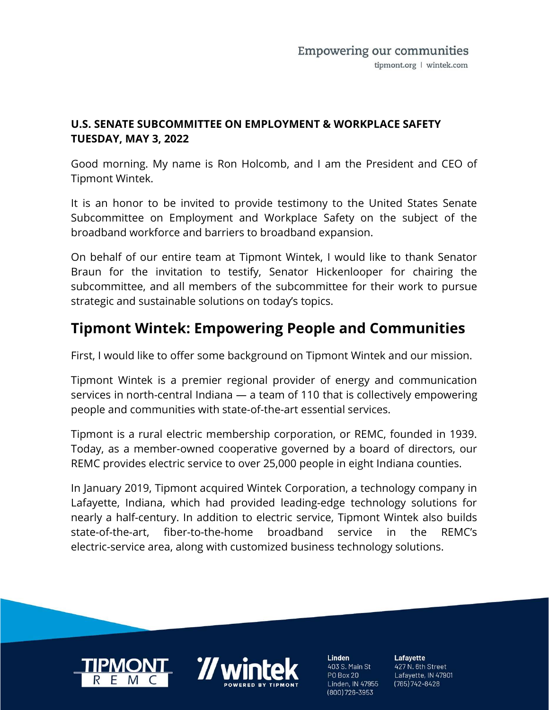#### U.S. SENATE SUBCOMMITTEE ON EMPLOYMENT & WORKPLACE SAFETY TUESDAY, MAY 3, 2022

Good morning. My name is Ron Holcomb, and I am the President and CEO of Tipmont Wintek.

It is an honor to be invited to provide testimony to the United States Senate Subcommittee on Employment and Workplace Safety on the subject of the broadband workforce and barriers to broadband expansion.

On behalf of our entire team at Tipmont Wintek, I would like to thank Senator Braun for the invitation to testify, Senator Hickenlooper for chairing the subcommittee, and all members of the subcommittee for their work to pursue strategic and sustainable solutions on today's topics.

### Tipmont Wintek: Empowering People and Communities

First, I would like to offer some background on Tipmont Wintek and our mission.

Tipmont Wintek is a premier regional provider of energy and communication services in north-central Indiana — a team of 110 that is collectively empowering people and communities with state-of-the-art essential services.

Tipmont is a rural electric membership corporation, or REMC, founded in 1939. Today, as a member-owned cooperative governed by a board of directors, our REMC provides electric service to over 25,000 people in eight Indiana counties.

In January 2019, Tipmont acquired Wintek Corporation, a technology company in Lafayette, Indiana, which had provided leading-edge technology solutions for nearly a half-century. In addition to electric service, Tipmont Wintek also builds state-of-the-art, fiber-to-the-home broadband service in the REMC's electric-service area, along with customized business technology solutions.





**Linden** 403 S. Main St **PO Box 20** Linden, IN 47955 (800) 726-3953

Lafayette 427 N. 6th Street Lafayette, IN 47901  $(765)742 - 8428$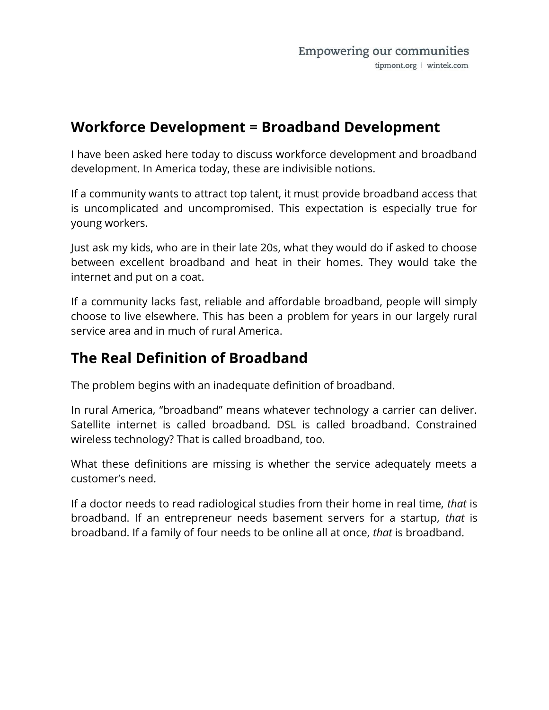#### Workforce Development = Broadband Development

I have been asked here today to discuss workforce development and broadband development. In America today, these are indivisible notions.

If a community wants to attract top talent, it must provide broadband access that is uncomplicated and uncompromised. This expectation is especially true for young workers.

Just ask my kids, who are in their late 20s, what they would do if asked to choose between excellent broadband and heat in their homes. They would take the internet and put on a coat.

If a community lacks fast, reliable and affordable broadband, people will simply choose to live elsewhere. This has been a problem for years in our largely rural service area and in much of rural America.

#### The Real Definition of Broadband

The problem begins with an inadequate definition of broadband.

In rural America, "broadband" means whatever technology a carrier can deliver. Satellite internet is called broadband. DSL is called broadband. Constrained wireless technology? That is called broadband, too.

What these definitions are missing is whether the service adequately meets a customer's need.

If a doctor needs to read radiological studies from their home in real time, that is broadband. If an entrepreneur needs basement servers for a startup, that is broadband. If a family of four needs to be online all at once, that is broadband.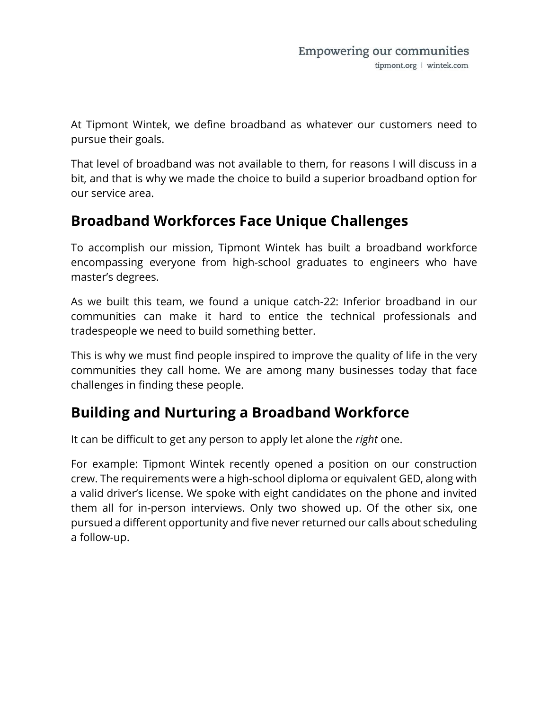At Tipmont Wintek, we define broadband as whatever our customers need to pursue their goals.

That level of broadband was not available to them, for reasons I will discuss in a bit, and that is why we made the choice to build a superior broadband option for our service area.

### Broadband Workforces Face Unique Challenges

To accomplish our mission, Tipmont Wintek has built a broadband workforce encompassing everyone from high-school graduates to engineers who have master's degrees.

As we built this team, we found a unique catch-22: Inferior broadband in our communities can make it hard to entice the technical professionals and tradespeople we need to build something better.

This is why we must find people inspired to improve the quality of life in the very communities they call home. We are among many businesses today that face challenges in finding these people.

## Building and Nurturing a Broadband Workforce

It can be difficult to get any person to apply let alone the right one.

For example: Tipmont Wintek recently opened a position on our construction crew. The requirements were a high-school diploma or equivalent GED, along with a valid driver's license. We spoke with eight candidates on the phone and invited them all for in-person interviews. Only two showed up. Of the other six, one pursued a different opportunity and five never returned our calls about scheduling a follow-up.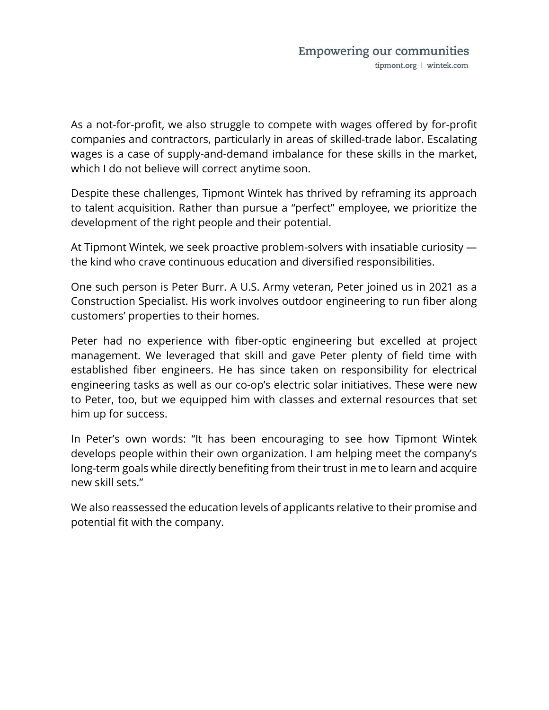As a not-for-profit, we also struggle to compete with wages offered by for-profit companies and contractors, particularly in areas of skilled-trade labor. Escalating wages is a case of supply-and-demand imbalance for these skills in the market, which I do not believe will correct anytime soon.

Despite these challenges, Tipmont Wintek has thrived by reframing its approach to talent acquisition. Rather than pursue a "perfect" employee, we prioritize the development of the right people and their potential.

At Tipmont Wintek, we seek proactive problem-solvers with insatiable curiosity the kind who crave continuous education and diversified responsibilities.

One such person is Peter Burr. A U.S. Army veteran, Peter joined us in 2021 as a Construction Specialist. His work involves outdoor engineering to run fiber along customers' properties to their homes.

Peter had no experience with fiber-optic engineering but excelled at project management. We leveraged that skill and gave Peter plenty of field time with established fiber engineers. He has since taken on responsibility for electrical engineering tasks as well as our co-op's electric solar initiatives. These were new to Peter, too, but we equipped him with classes and external resources that set him up for success.

In Peter's own words: "It has been encouraging to see how Tipmont Wintek develops people within their own organization. I am helping meet the company's long-term goals while directly benefiting from their trust in me to learn and acquire new skill sets."

We also reassessed the education levels of applicants relative to their promise and potential fit with the company.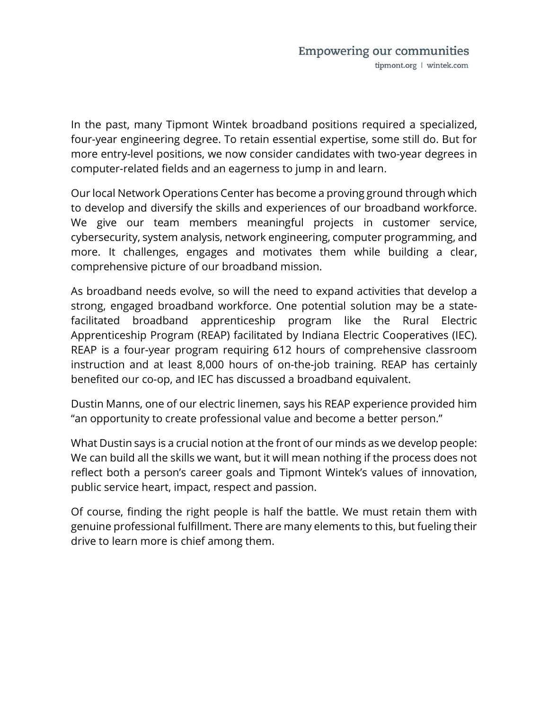In the past, many Tipmont Wintek broadband positions required a specialized, four-year engineering degree. To retain essential expertise, some still do. But for more entry-level positions, we now consider candidates with two-year degrees in computer-related fields and an eagerness to jump in and learn.

Our local Network Operations Center has become a proving ground through which to develop and diversify the skills and experiences of our broadband workforce. We give our team members meaningful projects in customer service, cybersecurity, system analysis, network engineering, computer programming, and more. It challenges, engages and motivates them while building a clear, comprehensive picture of our broadband mission.

As broadband needs evolve, so will the need to expand activities that develop a strong, engaged broadband workforce. One potential solution may be a statefacilitated broadband apprenticeship program like the Rural Electric Apprenticeship Program (REAP) facilitated by Indiana Electric Cooperatives (IEC). REAP is a four-year program requiring 612 hours of comprehensive classroom instruction and at least 8,000 hours of on-the-job training. REAP has certainly benefited our co-op, and IEC has discussed a broadband equivalent.

Dustin Manns, one of our electric linemen, says his REAP experience provided him "an opportunity to create professional value and become a better person."

What Dustin says is a crucial notion at the front of our minds as we develop people: We can build all the skills we want, but it will mean nothing if the process does not reflect both a person's career goals and Tipmont Wintek's values of innovation, public service heart, impact, respect and passion.

Of course, finding the right people is half the battle. We must retain them with genuine professional fulfillment. There are many elements to this, but fueling their drive to learn more is chief among them.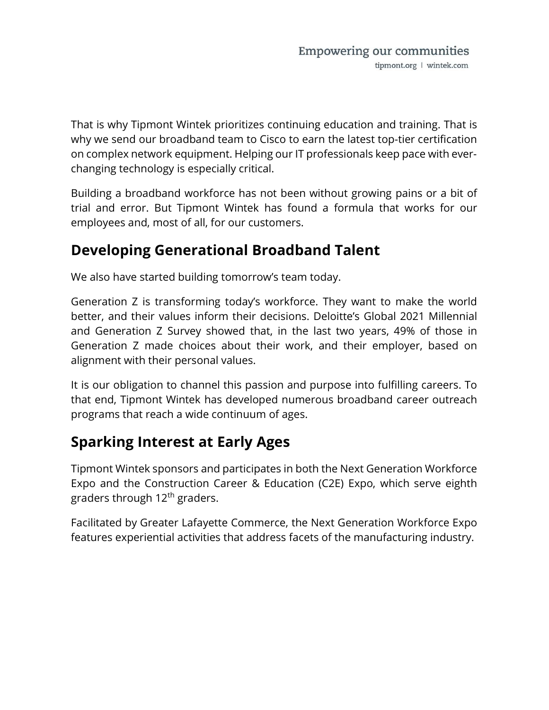That is why Tipmont Wintek prioritizes continuing education and training. That is why we send our broadband team to Cisco to earn the latest top-tier certification on complex network equipment. Helping our IT professionals keep pace with everchanging technology is especially critical.

Building a broadband workforce has not been without growing pains or a bit of trial and error. But Tipmont Wintek has found a formula that works for our employees and, most of all, for our customers.

### Developing Generational Broadband Talent

We also have started building tomorrow's team today.

Generation Z is transforming today's workforce. They want to make the world better, and their values inform their decisions. Deloitte's Global 2021 Millennial and Generation Z Survey showed that, in the last two years, 49% of those in Generation Z made choices about their work, and their employer, based on alignment with their personal values.

It is our obligation to channel this passion and purpose into fulfilling careers. To that end, Tipmont Wintek has developed numerous broadband career outreach programs that reach a wide continuum of ages.

# Sparking Interest at Early Ages

Tipmont Wintek sponsors and participates in both the Next Generation Workforce Expo and the Construction Career & Education (C2E) Expo, which serve eighth graders through 12<sup>th</sup> graders.

Facilitated by Greater Lafayette Commerce, the Next Generation Workforce Expo features experiential activities that address facets of the manufacturing industry.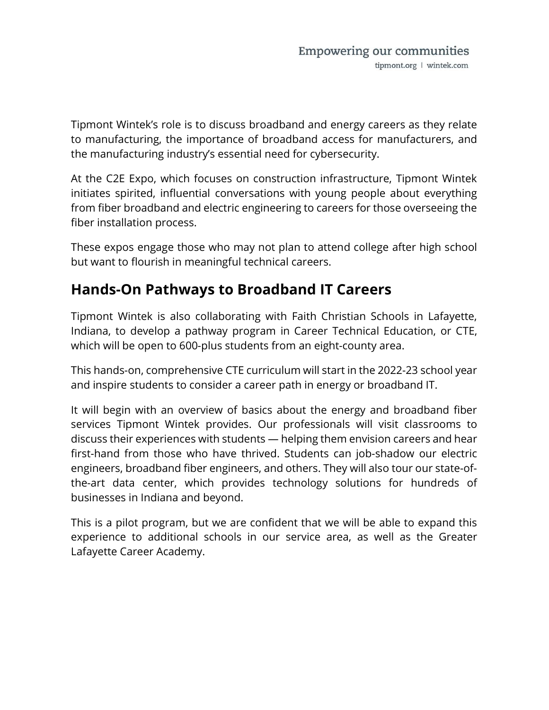Tipmont Wintek's role is to discuss broadband and energy careers as they relate to manufacturing, the importance of broadband access for manufacturers, and the manufacturing industry's essential need for cybersecurity.

At the C2E Expo, which focuses on construction infrastructure, Tipmont Wintek initiates spirited, influential conversations with young people about everything from fiber broadband and electric engineering to careers for those overseeing the fiber installation process.

These expos engage those who may not plan to attend college after high school but want to flourish in meaningful technical careers.

## Hands-On Pathways to Broadband IT Careers

Tipmont Wintek is also collaborating with Faith Christian Schools in Lafayette, Indiana, to develop a pathway program in Career Technical Education, or CTE, which will be open to 600-plus students from an eight-county area.

This hands-on, comprehensive CTE curriculum will start in the 2022-23 school year and inspire students to consider a career path in energy or broadband IT.

It will begin with an overview of basics about the energy and broadband fiber services Tipmont Wintek provides. Our professionals will visit classrooms to discuss their experiences with students — helping them envision careers and hear first-hand from those who have thrived. Students can job-shadow our electric engineers, broadband fiber engineers, and others. They will also tour our state-ofthe-art data center, which provides technology solutions for hundreds of businesses in Indiana and beyond.

This is a pilot program, but we are confident that we will be able to expand this experience to additional schools in our service area, as well as the Greater Lafayette Career Academy.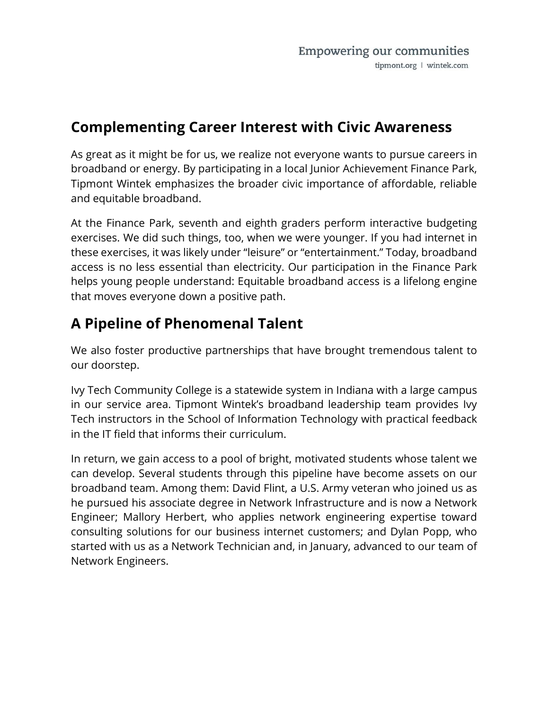### Complementing Career Interest with Civic Awareness

As great as it might be for us, we realize not everyone wants to pursue careers in broadband or energy. By participating in a local Junior Achievement Finance Park, Tipmont Wintek emphasizes the broader civic importance of affordable, reliable and equitable broadband.

At the Finance Park, seventh and eighth graders perform interactive budgeting exercises. We did such things, too, when we were younger. If you had internet in these exercises, it was likely under "leisure" or "entertainment." Today, broadband access is no less essential than electricity. Our participation in the Finance Park helps young people understand: Equitable broadband access is a lifelong engine that moves everyone down a positive path.

# A Pipeline of Phenomenal Talent

We also foster productive partnerships that have brought tremendous talent to our doorstep.

Ivy Tech Community College is a statewide system in Indiana with a large campus in our service area. Tipmont Wintek's broadband leadership team provides Ivy Tech instructors in the School of Information Technology with practical feedback in the IT field that informs their curriculum.

In return, we gain access to a pool of bright, motivated students whose talent we can develop. Several students through this pipeline have become assets on our broadband team. Among them: David Flint, a U.S. Army veteran who joined us as he pursued his associate degree in Network Infrastructure and is now a Network Engineer; Mallory Herbert, who applies network engineering expertise toward consulting solutions for our business internet customers; and Dylan Popp, who started with us as a Network Technician and, in January, advanced to our team of Network Engineers.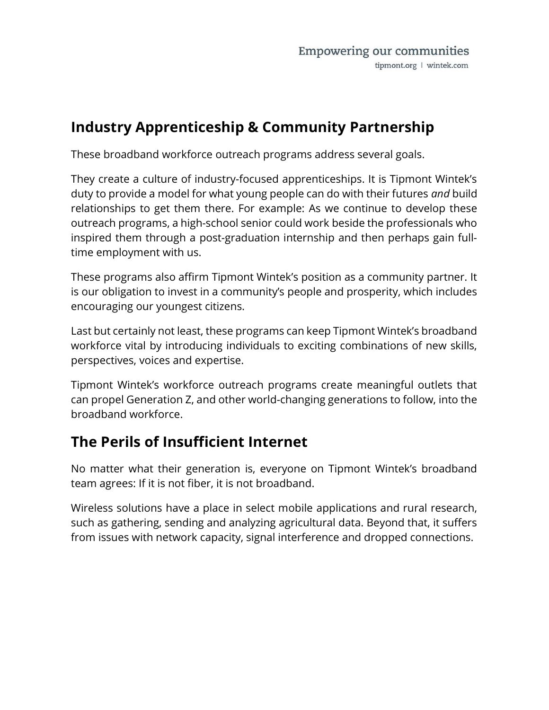# Industry Apprenticeship & Community Partnership

These broadband workforce outreach programs address several goals.

They create a culture of industry-focused apprenticeships. It is Tipmont Wintek's duty to provide a model for what young people can do with their futures and build relationships to get them there. For example: As we continue to develop these outreach programs, a high-school senior could work beside the professionals who inspired them through a post-graduation internship and then perhaps gain fulltime employment with us.

These programs also affirm Tipmont Wintek's position as a community partner. It is our obligation to invest in a community's people and prosperity, which includes encouraging our youngest citizens.

Last but certainly not least, these programs can keep Tipmont Wintek's broadband workforce vital by introducing individuals to exciting combinations of new skills, perspectives, voices and expertise.

Tipmont Wintek's workforce outreach programs create meaningful outlets that can propel Generation Z, and other world-changing generations to follow, into the broadband workforce.

## The Perils of Insufficient Internet

No matter what their generation is, everyone on Tipmont Wintek's broadband team agrees: If it is not fiber, it is not broadband.

Wireless solutions have a place in select mobile applications and rural research, such as gathering, sending and analyzing agricultural data. Beyond that, it suffers from issues with network capacity, signal interference and dropped connections.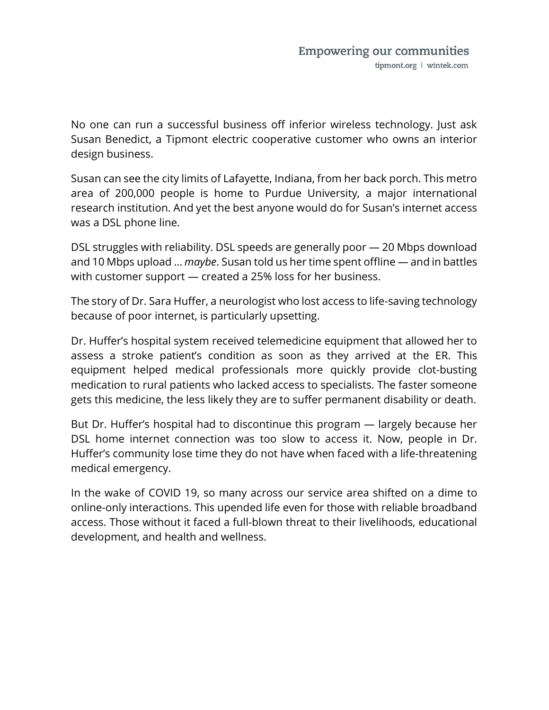No one can run a successful business off inferior wireless technology. Just ask Susan Benedict, a Tipmont electric cooperative customer who owns an interior design business.

Susan can see the city limits of Lafayette, Indiana, from her back porch. This metro area of 200,000 people is home to Purdue University, a major international research institution. And yet the best anyone would do for Susan's internet access was a DSL phone line.

DSL struggles with reliability. DSL speeds are generally poor — 20 Mbps download and 10 Mbps upload ... *maybe*. Susan told us her time spent offline — and in battles with customer support — created a 25% loss for her business.

The story of Dr. Sara Huffer, a neurologist who lost access to life-saving technology because of poor internet, is particularly upsetting.

Dr. Huffer's hospital system received telemedicine equipment that allowed her to assess a stroke patient's condition as soon as they arrived at the ER. This equipment helped medical professionals more quickly provide clot-busting medication to rural patients who lacked access to specialists. The faster someone gets this medicine, the less likely they are to suffer permanent disability or death.

But Dr. Huffer's hospital had to discontinue this program — largely because her DSL home internet connection was too slow to access it. Now, people in Dr. Huffer's community lose time they do not have when faced with a life-threatening medical emergency.

In the wake of COVID 19, so many across our service area shifted on a dime to online-only interactions. This upended life even for those with reliable broadband access. Those without it faced a full-blown threat to their livelihoods, educational development, and health and wellness.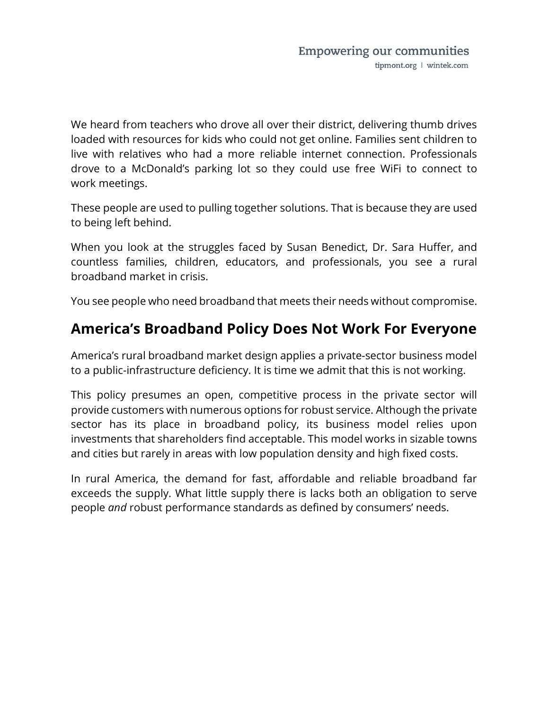We heard from teachers who drove all over their district, delivering thumb drives loaded with resources for kids who could not get online. Families sent children to live with relatives who had a more reliable internet connection. Professionals drove to a McDonald's parking lot so they could use free WiFi to connect to work meetings.

These people are used to pulling together solutions. That is because they are used to being left behind.

When you look at the struggles faced by Susan Benedict, Dr. Sara Huffer, and countless families, children, educators, and professionals, you see a rural broadband market in crisis.

You see people who need broadband that meets their needs without compromise.

### America's Broadband Policy Does Not Work For Everyone

America's rural broadband market design applies a private-sector business model to a public-infrastructure deficiency. It is time we admit that this is not working.

This policy presumes an open, competitive process in the private sector will provide customers with numerous options for robust service. Although the private sector has its place in broadband policy, its business model relies upon investments that shareholders find acceptable. This model works in sizable towns and cities but rarely in areas with low population density and high fixed costs.

In rural America, the demand for fast, affordable and reliable broadband far exceeds the supply. What little supply there is lacks both an obligation to serve people and robust performance standards as defined by consumers' needs.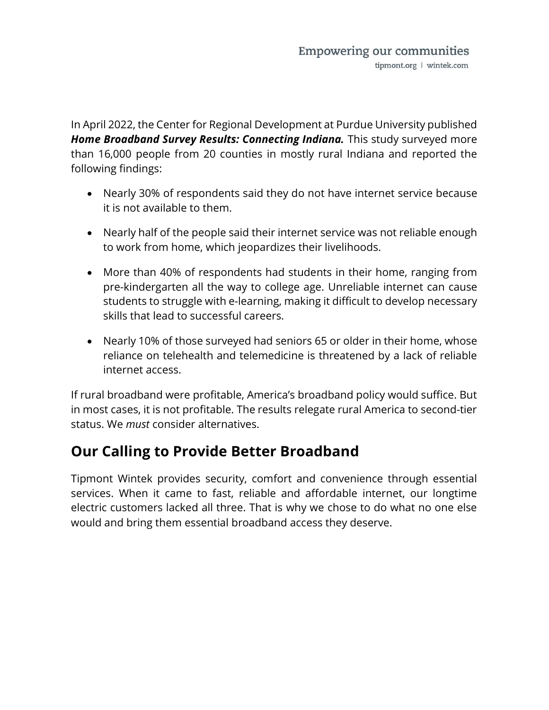In April 2022, the Center for Regional Development at Purdue University published Home Broadband Survey Results: Connecting Indiana. This study surveyed more than 16,000 people from 20 counties in mostly rural Indiana and reported the following findings:

- Nearly 30% of respondents said they do not have internet service because it is not available to them.
- Nearly half of the people said their internet service was not reliable enough to work from home, which jeopardizes their livelihoods.
- More than 40% of respondents had students in their home, ranging from pre-kindergarten all the way to college age. Unreliable internet can cause students to struggle with e-learning, making it difficult to develop necessary skills that lead to successful careers.
- Nearly 10% of those surveyed had seniors 65 or older in their home, whose reliance on telehealth and telemedicine is threatened by a lack of reliable internet access.

If rural broadband were profitable, America's broadband policy would suffice. But in most cases, it is not profitable. The results relegate rural America to second-tier status. We *must* consider alternatives.

## Our Calling to Provide Better Broadband

Tipmont Wintek provides security, comfort and convenience through essential services. When it came to fast, reliable and affordable internet, our longtime electric customers lacked all three. That is why we chose to do what no one else would and bring them essential broadband access they deserve.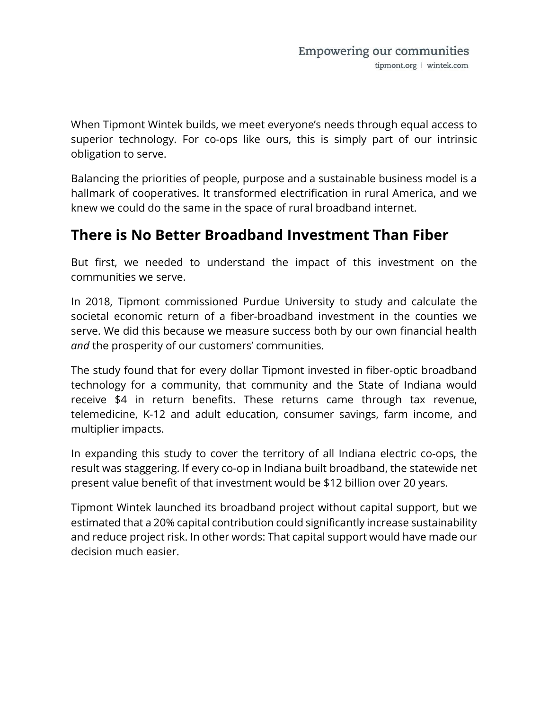When Tipmont Wintek builds, we meet everyone's needs through equal access to superior technology. For co-ops like ours, this is simply part of our intrinsic obligation to serve.

Balancing the priorities of people, purpose and a sustainable business model is a hallmark of cooperatives. It transformed electrification in rural America, and we knew we could do the same in the space of rural broadband internet.

## There is No Better Broadband Investment Than Fiber

But first, we needed to understand the impact of this investment on the communities we serve.

In 2018, Tipmont commissioned Purdue University to study and calculate the societal economic return of a fiber-broadband investment in the counties we serve. We did this because we measure success both by our own financial health and the prosperity of our customers' communities.

The study found that for every dollar Tipmont invested in fiber-optic broadband technology for a community, that community and the State of Indiana would receive \$4 in return benefits. These returns came through tax revenue, telemedicine, K-12 and adult education, consumer savings, farm income, and multiplier impacts.

In expanding this study to cover the territory of all Indiana electric co-ops, the result was staggering. If every co-op in Indiana built broadband, the statewide net present value benefit of that investment would be \$12 billion over 20 years.

Tipmont Wintek launched its broadband project without capital support, but we estimated that a 20% capital contribution could significantly increase sustainability and reduce project risk. In other words: That capital support would have made our decision much easier.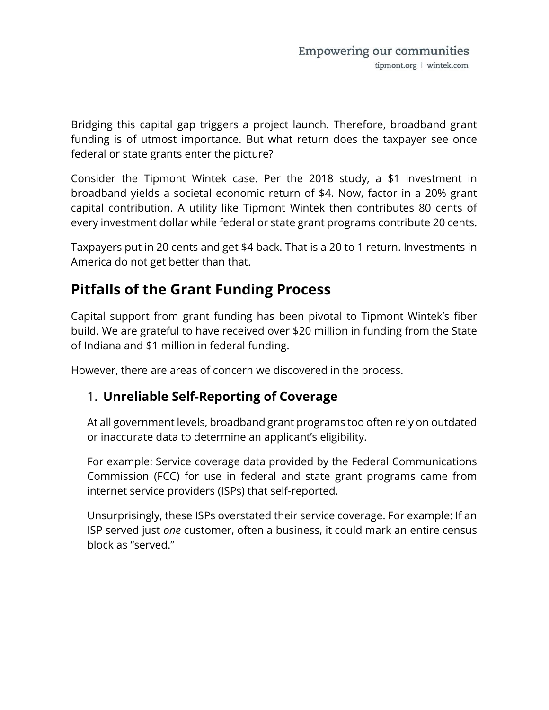Bridging this capital gap triggers a project launch. Therefore, broadband grant funding is of utmost importance. But what return does the taxpayer see once federal or state grants enter the picture?

Consider the Tipmont Wintek case. Per the 2018 study, a \$1 investment in broadband yields a societal economic return of \$4. Now, factor in a 20% grant capital contribution. A utility like Tipmont Wintek then contributes 80 cents of every investment dollar while federal or state grant programs contribute 20 cents.

Taxpayers put in 20 cents and get \$4 back. That is a 20 to 1 return. Investments in America do not get better than that.

# Pitfalls of the Grant Funding Process

Capital support from grant funding has been pivotal to Tipmont Wintek's fiber build. We are grateful to have received over \$20 million in funding from the State of Indiana and \$1 million in federal funding.

However, there are areas of concern we discovered in the process.

#### 1. Unreliable Self-Reporting of Coverage

At all government levels, broadband grant programs too often rely on outdated or inaccurate data to determine an applicant's eligibility.

For example: Service coverage data provided by the Federal Communications Commission (FCC) for use in federal and state grant programs came from internet service providers (ISPs) that self-reported.

Unsurprisingly, these ISPs overstated their service coverage. For example: If an ISP served just one customer, often a business, it could mark an entire census block as "served."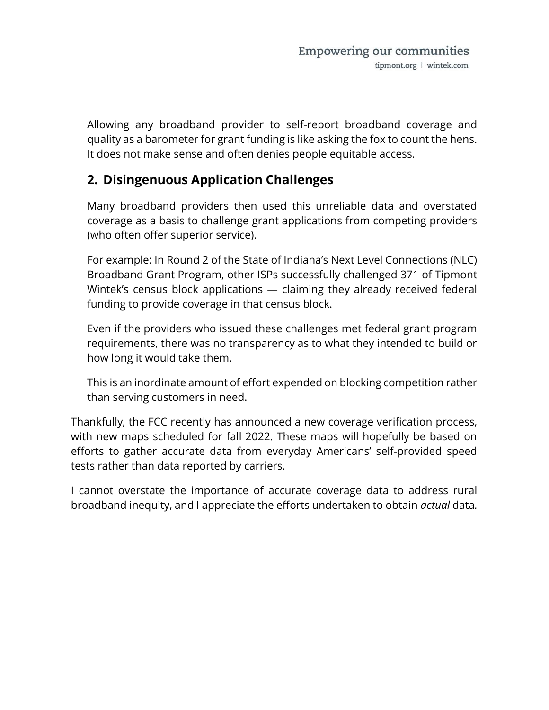Allowing any broadband provider to self-report broadband coverage and quality as a barometer for grant funding is like asking the fox to count the hens. It does not make sense and often denies people equitable access.

#### 2. Disingenuous Application Challenges

Many broadband providers then used this unreliable data and overstated coverage as a basis to challenge grant applications from competing providers (who often offer superior service).

For example: In Round 2 of the State of Indiana's Next Level Connections (NLC) Broadband Grant Program, other ISPs successfully challenged 371 of Tipmont Wintek's census block applications — claiming they already received federal funding to provide coverage in that census block.

Even if the providers who issued these challenges met federal grant program requirements, there was no transparency as to what they intended to build or how long it would take them.

This is an inordinate amount of effort expended on blocking competition rather than serving customers in need.

Thankfully, the FCC recently has announced a new coverage verification process, with new maps scheduled for fall 2022. These maps will hopefully be based on efforts to gather accurate data from everyday Americans' self-provided speed tests rather than data reported by carriers.

I cannot overstate the importance of accurate coverage data to address rural broadband inequity, and I appreciate the efforts undertaken to obtain actual data.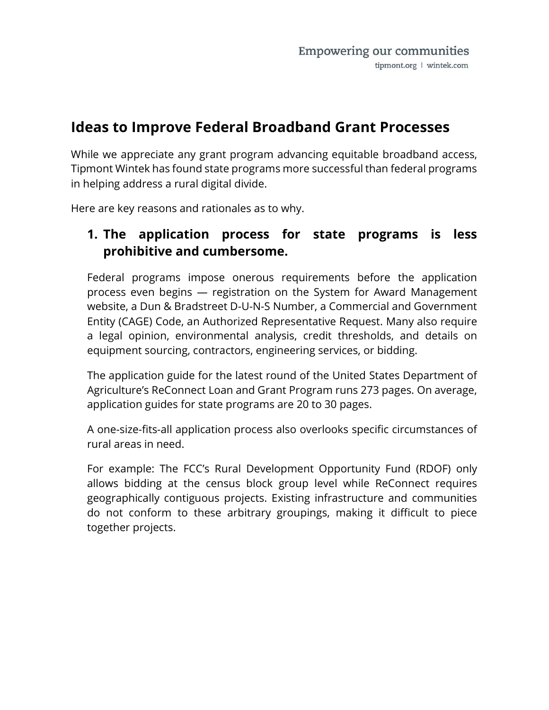#### Ideas to Improve Federal Broadband Grant Processes

While we appreciate any grant program advancing equitable broadband access, Tipmont Wintek has found state programs more successful than federal programs in helping address a rural digital divide.

Here are key reasons and rationales as to why.

#### 1. The application process for state programs is less prohibitive and cumbersome.

Federal programs impose onerous requirements before the application process even begins — registration on the System for Award Management website, a Dun & Bradstreet D-U-N-S Number, a Commercial and Government Entity (CAGE) Code, an Authorized Representative Request. Many also require a legal opinion, environmental analysis, credit thresholds, and details on equipment sourcing, contractors, engineering services, or bidding.

The application guide for the latest round of the United States Department of Agriculture's ReConnect Loan and Grant Program runs 273 pages. On average, application guides for state programs are 20 to 30 pages.

A one-size-fits-all application process also overlooks specific circumstances of rural areas in need.

For example: The FCC's Rural Development Opportunity Fund (RDOF) only allows bidding at the census block group level while ReConnect requires geographically contiguous projects. Existing infrastructure and communities do not conform to these arbitrary groupings, making it difficult to piece together projects.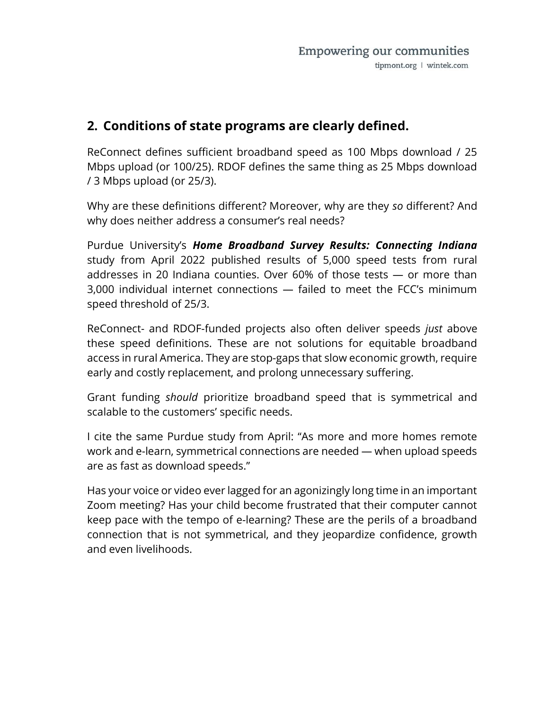#### 2. Conditions of state programs are clearly defined.

ReConnect defines sufficient broadband speed as 100 Mbps download / 25 Mbps upload (or 100/25). RDOF defines the same thing as 25 Mbps download / 3 Mbps upload (or 25/3).

Why are these definitions different? Moreover, why are they so different? And why does neither address a consumer's real needs?

Purdue University's Home Broadband Survey Results: Connecting Indiana study from April 2022 published results of 5,000 speed tests from rural addresses in 20 Indiana counties. Over 60% of those tests — or more than 3,000 individual internet connections — failed to meet the FCC's minimum speed threshold of 25/3.

ReConnect- and RDOF-funded projects also often deliver speeds just above these speed definitions. These are not solutions for equitable broadband access in rural America. They are stop-gaps that slow economic growth, require early and costly replacement, and prolong unnecessary suffering.

Grant funding should prioritize broadband speed that is symmetrical and scalable to the customers' specific needs.

I cite the same Purdue study from April: "As more and more homes remote work and e-learn, symmetrical connections are needed — when upload speeds are as fast as download speeds."

Has your voice or video ever lagged for an agonizingly long time in an important Zoom meeting? Has your child become frustrated that their computer cannot keep pace with the tempo of e-learning? These are the perils of a broadband connection that is not symmetrical, and they jeopardize confidence, growth and even livelihoods.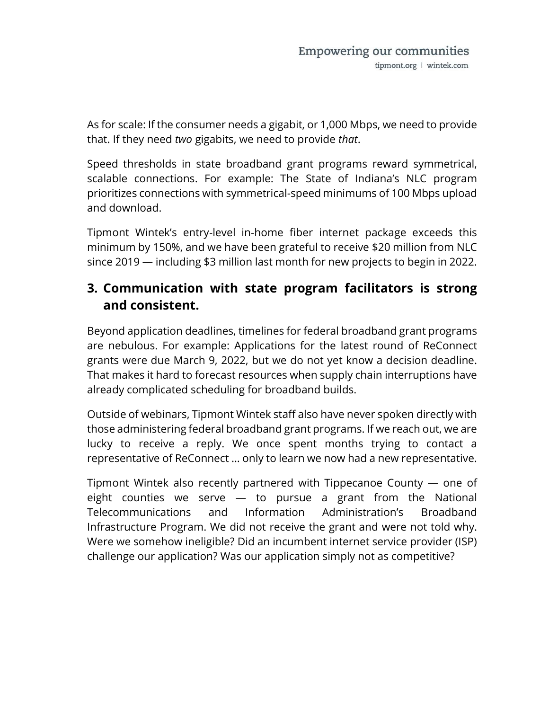As for scale: If the consumer needs a gigabit, or 1,000 Mbps, we need to provide that. If they need two gigabits, we need to provide that.

Speed thresholds in state broadband grant programs reward symmetrical, scalable connections. For example: The State of Indiana's NLC program prioritizes connections with symmetrical-speed minimums of 100 Mbps upload and download.

Tipmont Wintek's entry-level in-home fiber internet package exceeds this minimum by 150%, and we have been grateful to receive \$20 million from NLC since 2019 — including \$3 million last month for new projects to begin in 2022.

#### 3. Communication with state program facilitators is strong and consistent.

Beyond application deadlines, timelines for federal broadband grant programs are nebulous. For example: Applications for the latest round of ReConnect grants were due March 9, 2022, but we do not yet know a decision deadline. That makes it hard to forecast resources when supply chain interruptions have already complicated scheduling for broadband builds.

Outside of webinars, Tipmont Wintek staff also have never spoken directly with those administering federal broadband grant programs. If we reach out, we are lucky to receive a reply. We once spent months trying to contact a representative of ReConnect … only to learn we now had a new representative.

Tipmont Wintek also recently partnered with Tippecanoe County — one of eight counties we serve — to pursue a grant from the National Telecommunications and Information Administration's Broadband Infrastructure Program. We did not receive the grant and were not told why. Were we somehow ineligible? Did an incumbent internet service provider (ISP) challenge our application? Was our application simply not as competitive?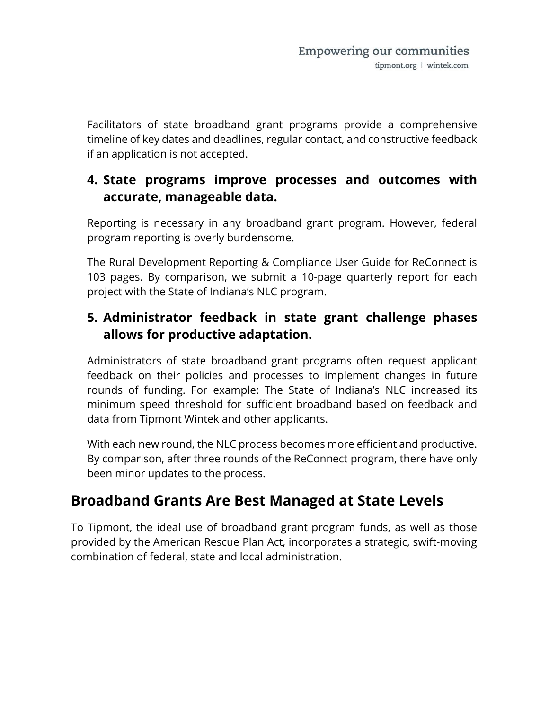Facilitators of state broadband grant programs provide a comprehensive timeline of key dates and deadlines, regular contact, and constructive feedback if an application is not accepted.

#### 4. State programs improve processes and outcomes with accurate, manageable data.

Reporting is necessary in any broadband grant program. However, federal program reporting is overly burdensome.

The Rural Development Reporting & Compliance User Guide for ReConnect is 103 pages. By comparison, we submit a 10-page quarterly report for each project with the State of Indiana's NLC program.

#### 5. Administrator feedback in state grant challenge phases allows for productive adaptation.

Administrators of state broadband grant programs often request applicant feedback on their policies and processes to implement changes in future rounds of funding. For example: The State of Indiana's NLC increased its minimum speed threshold for sufficient broadband based on feedback and data from Tipmont Wintek and other applicants.

With each new round, the NLC process becomes more efficient and productive. By comparison, after three rounds of the ReConnect program, there have only been minor updates to the process.

# Broadband Grants Are Best Managed at State Levels

To Tipmont, the ideal use of broadband grant program funds, as well as those provided by the American Rescue Plan Act, incorporates a strategic, swift-moving combination of federal, state and local administration.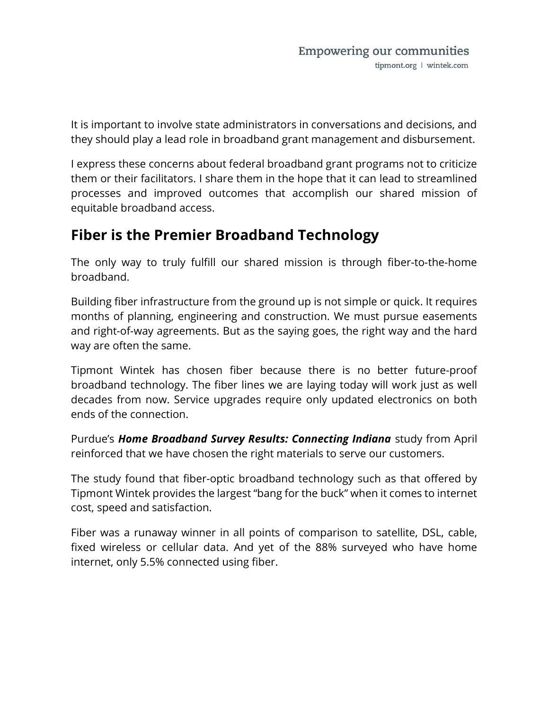It is important to involve state administrators in conversations and decisions, and they should play a lead role in broadband grant management and disbursement.

I express these concerns about federal broadband grant programs not to criticize them or their facilitators. I share them in the hope that it can lead to streamlined processes and improved outcomes that accomplish our shared mission of equitable broadband access.

### Fiber is the Premier Broadband Technology

The only way to truly fulfill our shared mission is through fiber-to-the-home broadband.

Building fiber infrastructure from the ground up is not simple or quick. It requires months of planning, engineering and construction. We must pursue easements and right-of-way agreements. But as the saying goes, the right way and the hard way are often the same.

Tipmont Wintek has chosen fiber because there is no better future-proof broadband technology. The fiber lines we are laying today will work just as well decades from now. Service upgrades require only updated electronics on both ends of the connection.

Purdue's Home Broadband Survey Results: Connecting Indiana study from April reinforced that we have chosen the right materials to serve our customers.

The study found that fiber-optic broadband technology such as that offered by Tipmont Wintek provides the largest "bang for the buck" when it comes to internet cost, speed and satisfaction.

Fiber was a runaway winner in all points of comparison to satellite, DSL, cable, fixed wireless or cellular data. And yet of the 88% surveyed who have home internet, only 5.5% connected using fiber.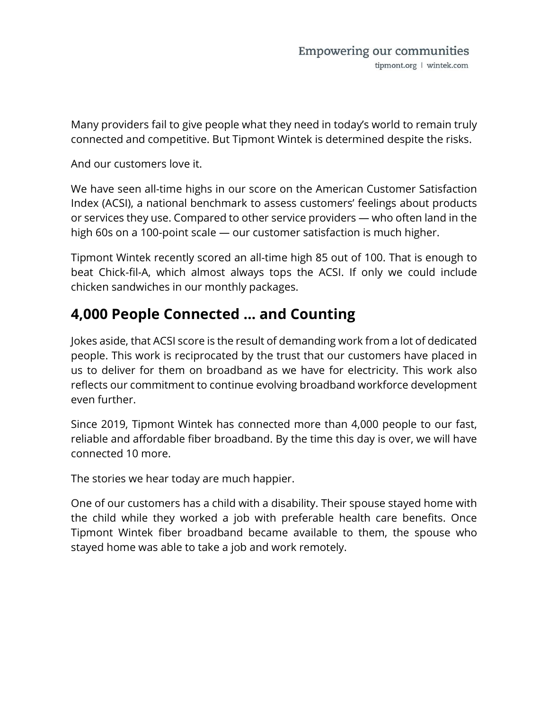Many providers fail to give people what they need in today's world to remain truly connected and competitive. But Tipmont Wintek is determined despite the risks.

And our customers love it.

We have seen all-time highs in our score on the American Customer Satisfaction Index (ACSI), a national benchmark to assess customers' feelings about products or services they use. Compared to other service providers — who often land in the high 60s on a 100-point scale — our customer satisfaction is much higher.

Tipmont Wintek recently scored an all-time high 85 out of 100. That is enough to beat Chick-fil-A, which almost always tops the ACSI. If only we could include chicken sandwiches in our monthly packages.

## 4,000 People Connected … and Counting

Jokes aside, that ACSI score is the result of demanding work from a lot of dedicated people. This work is reciprocated by the trust that our customers have placed in us to deliver for them on broadband as we have for electricity. This work also reflects our commitment to continue evolving broadband workforce development even further.

Since 2019, Tipmont Wintek has connected more than 4,000 people to our fast, reliable and affordable fiber broadband. By the time this day is over, we will have connected 10 more.

The stories we hear today are much happier.

One of our customers has a child with a disability. Their spouse stayed home with the child while they worked a job with preferable health care benefits. Once Tipmont Wintek fiber broadband became available to them, the spouse who stayed home was able to take a job and work remotely.